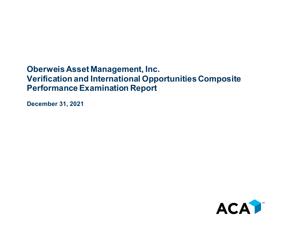## **Oberweis Asset Management, Inc. Verification and International Opportunities Composite Performance Examination Report**

**December 31, 2021**

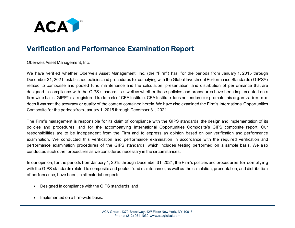

## **Verification and Performance Examination Report**

Oberweis Asset Management, Inc.

We have verified whether Oberweis Asset Management, Inc. (the "Firm") has, for the periods from January 1, 2015 through December 31, 2021, established policies and procedures for complying with the Global Investment Performance Standards (GIPS® ) related to composite and pooled fund maintenance and the calculation, presentation, and distribution of performance that are designed in compliance with the GIPS standards, as well as whether these policies and procedures have been implemented on a firm-wide basis. GIPS® is a registered trademark of CFA Institute. CFA Institute does not endorse or promote this organization, nor does it warrant the accuracy or quality of the content contained herein. We have also examined the Firm's International Opportunities Composite for the periods from January 1, 2015 through December 31, 2021.

The Firm's management is responsible for its claim of compliance with the GIPS standards, the design and implementation of its policies and procedures, and for the accompanying International Opportunities Composite's GIPS composite report. Our responsibilities are to be independent from the Firm and to express an opinion based on our verification and performance examination. We conducted this verification and performance examination in accordance with the required verification and performance examination procedures of the GIPS standards, which includes testing performed on a sample basis. We also conducted such other procedures as we considered necessary in the circumstances.

In our opinion, for the periods from January 1, 2015 through December 31, 2021, the Firm's policies and procedures for complying with the GIPS standards related to composite and pooled fund maintenance, as well as the calculation, presentation, and distribution of performance, have been, in all material respects:

- Designed in compliance with the GIPS standards, and
- Implemented on a firm-wide basis.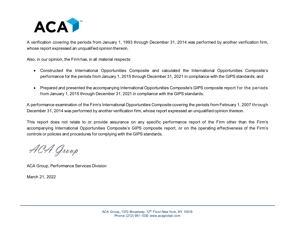

A verification covering the periods from January 1, 1993 through December 31, 2014 was performed by another verification firm, whose report expressed an unqualified opinion thereon.

Also, in our opinion, the Firm has, in all material respects:

- Constructed the International Opportunities Composite and calculated the International Opportunities Composite's performance for the periods from January 1, 2015 through December 31, 2021 in compliance with the GIPS standards; and
- Prepared and presented the accompanying International Opportunities Composite's GIPS composite report for the periods from January 1, 2015 through December 31, 2021 in compliance with the GIPS standards.

A performance examination of the Firm's International Opportunities Composite covering the periods from February 1, 2007 through December 31, 2014 was performed by another verification firm, whose report expressed an unqualified opinion thereon.

This report does not relate to or provide assurance on any specific performance report of the Firm other than the Firm's accompanying International Opportunities Composite's GIPS composite report, or on the operating effectiveness of the Firm's controls or policies and procedures for complying with the GIPS standards.

ACA Group

ACA Group, Performance Services Division

March 21, 2022